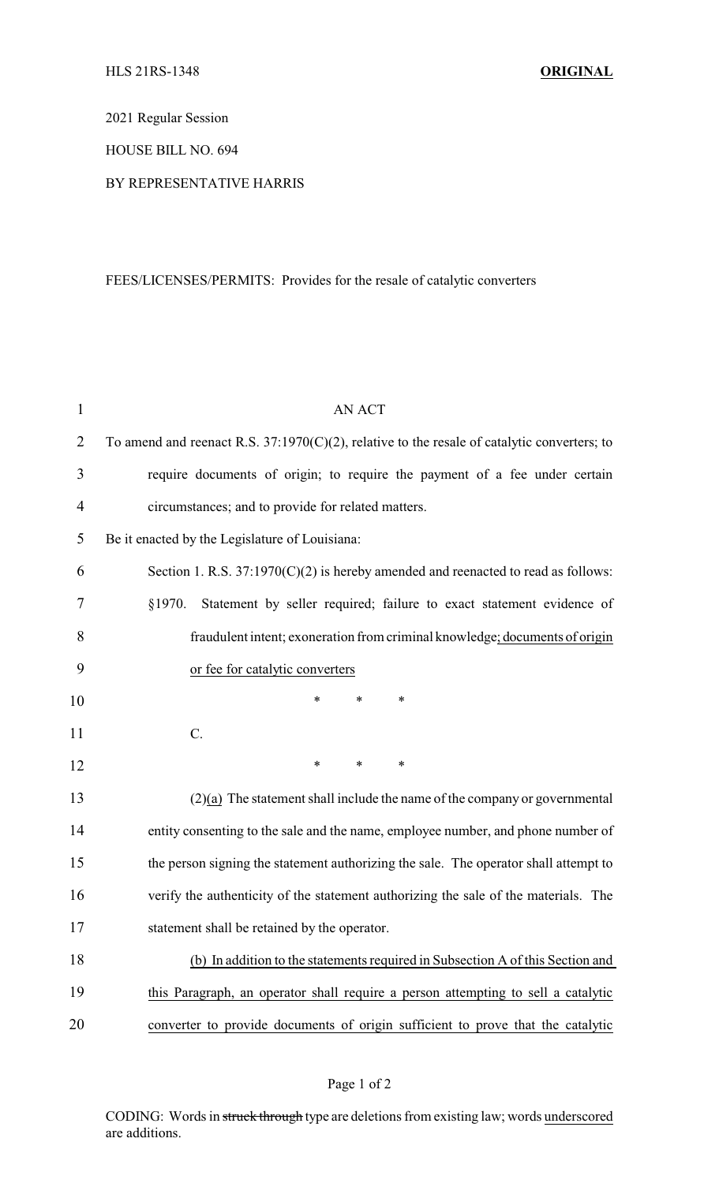2021 Regular Session

HOUSE BILL NO. 694

## BY REPRESENTATIVE HARRIS

## FEES/LICENSES/PERMITS: Provides for the resale of catalytic converters

| $\mathbf{1}$   | <b>AN ACT</b>                                                                                  |
|----------------|------------------------------------------------------------------------------------------------|
| $\overline{2}$ | To amend and reenact R.S. $37:1970(C)(2)$ , relative to the resale of catalytic converters; to |
| 3              | require documents of origin; to require the payment of a fee under certain                     |
| 4              | circumstances; and to provide for related matters.                                             |
| 5              | Be it enacted by the Legislature of Louisiana:                                                 |
| 6              | Section 1. R.S. $37:1970(C)(2)$ is hereby amended and reenacted to read as follows:            |
| 7              | §1970.<br>Statement by seller required; failure to exact statement evidence of                 |
| 8              | fraudulent intent; exoneration from criminal knowledge; documents of origin                    |
| 9              | or fee for catalytic converters                                                                |
| 10             | $\ast$<br>∗<br>*                                                                               |
| 11             | $C$ .                                                                                          |
| 12             | $\ast$<br>$\ast$<br>$\ast$                                                                     |
| 13             | $(2)(a)$ The statement shall include the name of the company or governmental                   |
| 14             | entity consenting to the sale and the name, employee number, and phone number of               |
| 15             | the person signing the statement authorizing the sale. The operator shall attempt to           |
| 16             | verify the authenticity of the statement authorizing the sale of the materials. The            |
| 17             | statement shall be retained by the operator.                                                   |
| 18             | (b) In addition to the statements required in Subsection A of this Section and                 |
| 19             | this Paragraph, an operator shall require a person attempting to sell a catalytic              |
| 20             | converter to provide documents of origin sufficient to prove that the catalytic                |